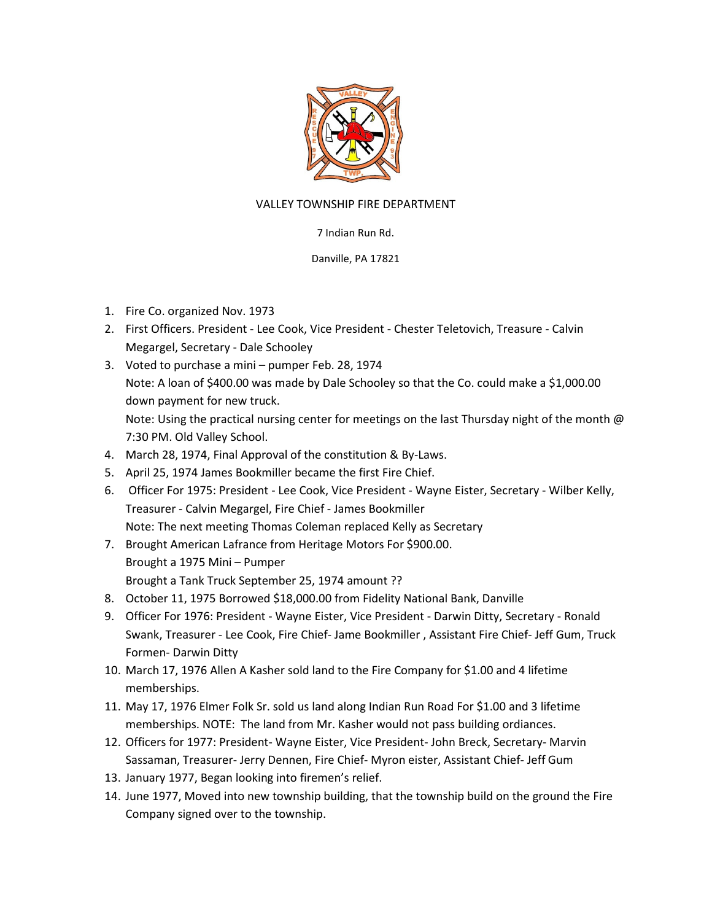

## VALLEY TOWNSHIP FIRE DEPARTMENT

## 7 Indian Run Rd.

## Danville, PA 17821

- 1. Fire Co. organized Nov. 1973
- 2. First Officers. President Lee Cook, Vice President Chester Teletovich, Treasure Calvin Megargel, Secretary - Dale Schooley
- 3. Voted to purchase a mini pumper Feb. 28, 1974 Note: A loan of \$400.00 was made by Dale Schooley so that the Co. could make a \$1,000.00 down payment for new truck. Note: Using the practical nursing center for meetings on the last Thursday night of the month @ 7:30 PM. Old Valley School.
- 4. March 28, 1974, Final Approval of the constitution & By-Laws.
- 5. April 25, 1974 James Bookmiller became the first Fire Chief.
- 6. Officer For 1975: President Lee Cook, Vice President Wayne Eister, Secretary Wilber Kelly, Treasurer - Calvin Megargel, Fire Chief - James Bookmiller Note: The next meeting Thomas Coleman replaced Kelly as Secretary
- 7. Brought American Lafrance from Heritage Motors For \$900.00. Brought a 1975 Mini – Pumper Brought a Tank Truck September 25, 1974 amount ??
- 8. October 11, 1975 Borrowed \$18,000.00 from Fidelity National Bank, Danville
- 9. Officer For 1976: President Wayne Eister, Vice President Darwin Ditty, Secretary Ronald Swank, Treasurer - Lee Cook, Fire Chief- Jame Bookmiller , Assistant Fire Chief- Jeff Gum, Truck Formen- Darwin Ditty
- 10. March 17, 1976 Allen A Kasher sold land to the Fire Company for \$1.00 and 4 lifetime memberships.
- 11. May 17, 1976 Elmer Folk Sr. sold us land along Indian Run Road For \$1.00 and 3 lifetime memberships. NOTE: The land from Mr. Kasher would not pass building ordiances.
- 12. Officers for 1977: President- Wayne Eister, Vice President- John Breck, Secretary- Marvin Sassaman, Treasurer- Jerry Dennen, Fire Chief- Myron eister, Assistant Chief- Jeff Gum
- 13. January 1977, Began looking into firemen's relief.
- 14. June 1977, Moved into new township building, that the township build on the ground the Fire Company signed over to the township.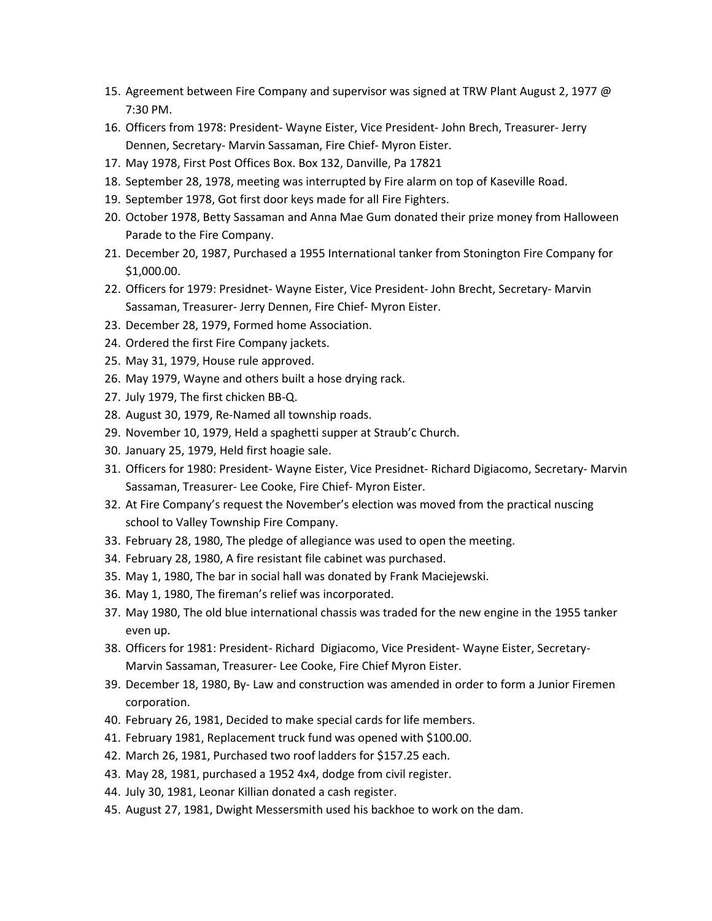- 15. Agreement between Fire Company and supervisor was signed at TRW Plant August 2, 1977 @ 7:30 PM.
- 16. Officers from 1978: President- Wayne Eister, Vice President- John Brech, Treasurer- Jerry Dennen, Secretary- Marvin Sassaman, Fire Chief- Myron Eister.
- 17. May 1978, First Post Offices Box. Box 132, Danville, Pa 17821
- 18. September 28, 1978, meeting was interrupted by Fire alarm on top of Kaseville Road.
- 19. September 1978, Got first door keys made for all Fire Fighters.
- 20. October 1978, Betty Sassaman and Anna Mae Gum donated their prize money from Halloween Parade to the Fire Company.
- 21. December 20, 1987, Purchased a 1955 International tanker from Stonington Fire Company for \$1,000.00.
- 22. Officers for 1979: Presidnet- Wayne Eister, Vice President- John Brecht, Secretary- Marvin Sassaman, Treasurer- Jerry Dennen, Fire Chief- Myron Eister.
- 23. December 28, 1979, Formed home Association.
- 24. Ordered the first Fire Company jackets.
- 25. May 31, 1979, House rule approved.
- 26. May 1979, Wayne and others built a hose drying rack.
- 27. July 1979, The first chicken BB-Q.
- 28. August 30, 1979, Re-Named all township roads.
- 29. November 10, 1979, Held a spaghetti supper at Straub'c Church.
- 30. January 25, 1979, Held first hoagie sale.
- 31. Officers for 1980: President- Wayne Eister, Vice Presidnet- Richard Digiacomo, Secretary- Marvin Sassaman, Treasurer- Lee Cooke, Fire Chief- Myron Eister.
- 32. At Fire Company's request the November's election was moved from the practical nuscing school to Valley Township Fire Company.
- 33. February 28, 1980, The pledge of allegiance was used to open the meeting.
- 34. February 28, 1980, A fire resistant file cabinet was purchased.
- 35. May 1, 1980, The bar in social hall was donated by Frank Maciejewski.
- 36. May 1, 1980, The fireman's relief was incorporated.
- 37. May 1980, The old blue international chassis was traded for the new engine in the 1955 tanker even up.
- 38. Officers for 1981: President- Richard Digiacomo, Vice President- Wayne Eister, Secretary-Marvin Sassaman, Treasurer- Lee Cooke, Fire Chief Myron Eister.
- 39. December 18, 1980, By- Law and construction was amended in order to form a Junior Firemen corporation.
- 40. February 26, 1981, Decided to make special cards for life members.
- 41. February 1981, Replacement truck fund was opened with \$100.00.
- 42. March 26, 1981, Purchased two roof ladders for \$157.25 each.
- 43. May 28, 1981, purchased a 1952 4x4, dodge from civil register.
- 44. July 30, 1981, Leonar Killian donated a cash register.
- 45. August 27, 1981, Dwight Messersmith used his backhoe to work on the dam.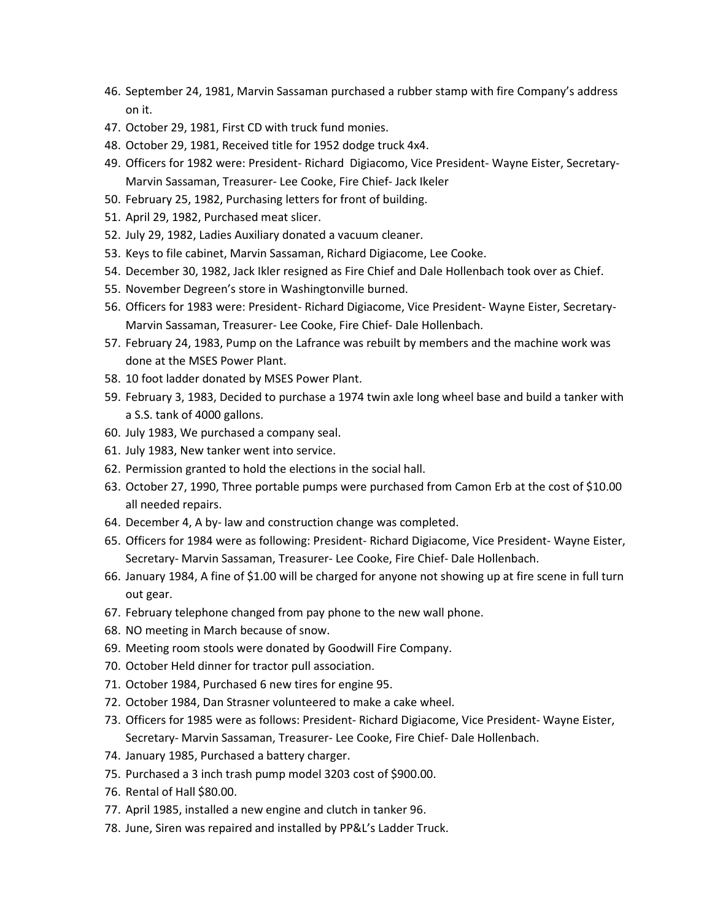- 46. September 24, 1981, Marvin Sassaman purchased a rubber stamp with fire Company's address on it.
- 47. October 29, 1981, First CD with truck fund monies.
- 48. October 29, 1981, Received title for 1952 dodge truck 4x4.
- 49. Officers for 1982 were: President- Richard Digiacomo, Vice President- Wayne Eister, Secretary-Marvin Sassaman, Treasurer- Lee Cooke, Fire Chief- Jack Ikeler
- 50. February 25, 1982, Purchasing letters for front of building.
- 51. April 29, 1982, Purchased meat slicer.
- 52. July 29, 1982, Ladies Auxiliary donated a vacuum cleaner.
- 53. Keys to file cabinet, Marvin Sassaman, Richard Digiacome, Lee Cooke.
- 54. December 30, 1982, Jack Ikler resigned as Fire Chief and Dale Hollenbach took over as Chief.
- 55. November Degreen's store in Washingtonville burned.
- 56. Officers for 1983 were: President- Richard Digiacome, Vice President- Wayne Eister, Secretary-Marvin Sassaman, Treasurer- Lee Cooke, Fire Chief- Dale Hollenbach.
- 57. February 24, 1983, Pump on the Lafrance was rebuilt by members and the machine work was done at the MSES Power Plant.
- 58. 10 foot ladder donated by MSES Power Plant.
- 59. February 3, 1983, Decided to purchase a 1974 twin axle long wheel base and build a tanker with a S.S. tank of 4000 gallons.
- 60. July 1983, We purchased a company seal.
- 61. July 1983, New tanker went into service.
- 62. Permission granted to hold the elections in the social hall.
- 63. October 27, 1990, Three portable pumps were purchased from Camon Erb at the cost of \$10.00 all needed repairs.
- 64. December 4, A by- law and construction change was completed.
- 65. Officers for 1984 were as following: President- Richard Digiacome, Vice President- Wayne Eister, Secretary- Marvin Sassaman, Treasurer- Lee Cooke, Fire Chief- Dale Hollenbach.
- 66. January 1984, A fine of \$1.00 will be charged for anyone not showing up at fire scene in full turn out gear.
- 67. February telephone changed from pay phone to the new wall phone.
- 68. NO meeting in March because of snow.
- 69. Meeting room stools were donated by Goodwill Fire Company.
- 70. October Held dinner for tractor pull association.
- 71. October 1984, Purchased 6 new tires for engine 95.
- 72. October 1984, Dan Strasner volunteered to make a cake wheel.
- 73. Officers for 1985 were as follows: President- Richard Digiacome, Vice President- Wayne Eister, Secretary- Marvin Sassaman, Treasurer- Lee Cooke, Fire Chief- Dale Hollenbach.
- 74. January 1985, Purchased a battery charger.
- 75. Purchased a 3 inch trash pump model 3203 cost of \$900.00.
- 76. Rental of Hall \$80.00.
- 77. April 1985, installed a new engine and clutch in tanker 96.
- 78. June, Siren was repaired and installed by PP&L's Ladder Truck.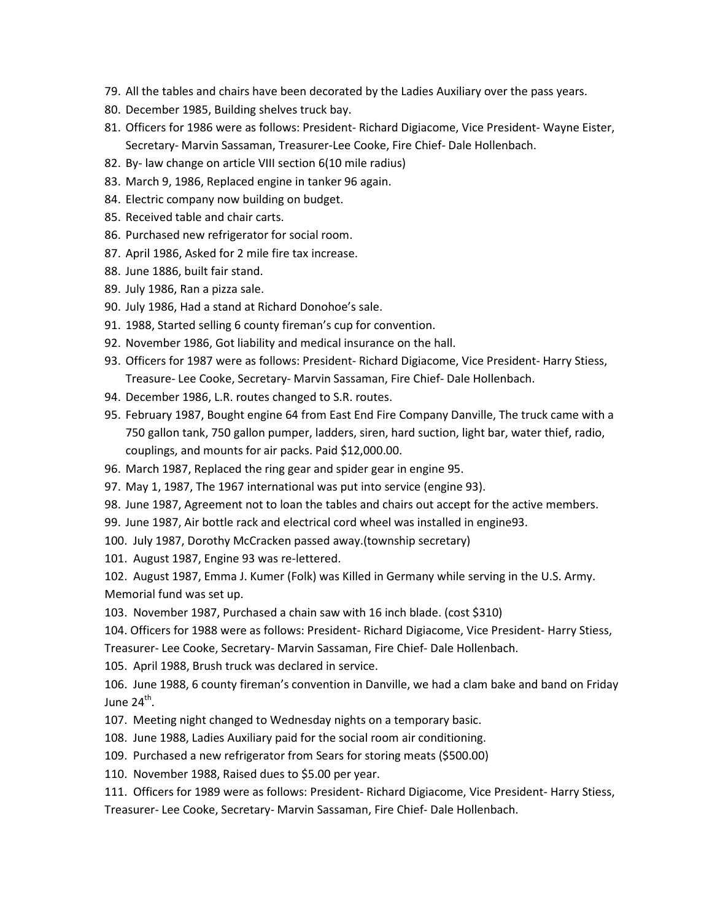- 79. All the tables and chairs have been decorated by the Ladies Auxiliary over the pass years.
- 80. December 1985, Building shelves truck bay.
- 81. Officers for 1986 were as follows: President- Richard Digiacome, Vice President- Wayne Eister, Secretary- Marvin Sassaman, Treasurer-Lee Cooke, Fire Chief- Dale Hollenbach.
- 82. By- law change on article VIII section 6(10 mile radius)
- 83. March 9, 1986, Replaced engine in tanker 96 again.
- 84. Electric company now building on budget.
- 85. Received table and chair carts.
- 86. Purchased new refrigerator for social room.
- 87. April 1986, Asked for 2 mile fire tax increase.
- 88. June 1886, built fair stand.
- 89. July 1986, Ran a pizza sale.
- 90. July 1986, Had a stand at Richard Donohoe's sale.
- 91. 1988, Started selling 6 county fireman's cup for convention.
- 92. November 1986, Got liability and medical insurance on the hall.
- 93. Officers for 1987 were as follows: President- Richard Digiacome, Vice President- Harry Stiess, Treasure- Lee Cooke, Secretary- Marvin Sassaman, Fire Chief- Dale Hollenbach.
- 94. December 1986, L.R. routes changed to S.R. routes.
- 95. February 1987, Bought engine 64 from East End Fire Company Danville, The truck came with a 750 gallon tank, 750 gallon pumper, ladders, siren, hard suction, light bar, water thief, radio, couplings, and mounts for air packs. Paid \$12,000.00.
- 96. March 1987, Replaced the ring gear and spider gear in engine 95.
- 97. May 1, 1987, The 1967 international was put into service (engine 93).
- 98. June 1987, Agreement not to loan the tables and chairs out accept for the active members.
- 99. June 1987, Air bottle rack and electrical cord wheel was installed in engine93.
- 100. July 1987, Dorothy McCracken passed away.(township secretary)
- 101. August 1987, Engine 93 was re-lettered.

102. August 1987, Emma J. Kumer (Folk) was Killed in Germany while serving in the U.S. Army. Memorial fund was set up.

103. November 1987, Purchased a chain saw with 16 inch blade. (cost \$310)

104. Officers for 1988 were as follows: President- Richard Digiacome, Vice President- Harry Stiess,

Treasurer- Lee Cooke, Secretary- Marvin Sassaman, Fire Chief- Dale Hollenbach.

105. April 1988, Brush truck was declared in service.

106. June 1988, 6 county fireman's convention in Danville, we had a clam bake and band on Friday June 24<sup>th</sup>.

- 107. Meeting night changed to Wednesday nights on a temporary basic.
- 108. June 1988, Ladies Auxiliary paid for the social room air conditioning.
- 109. Purchased a new refrigerator from Sears for storing meats (\$500.00)
- 110. November 1988, Raised dues to \$5.00 per year.
- 111. Officers for 1989 were as follows: President- Richard Digiacome, Vice President- Harry Stiess,

Treasurer- Lee Cooke, Secretary- Marvin Sassaman, Fire Chief- Dale Hollenbach.